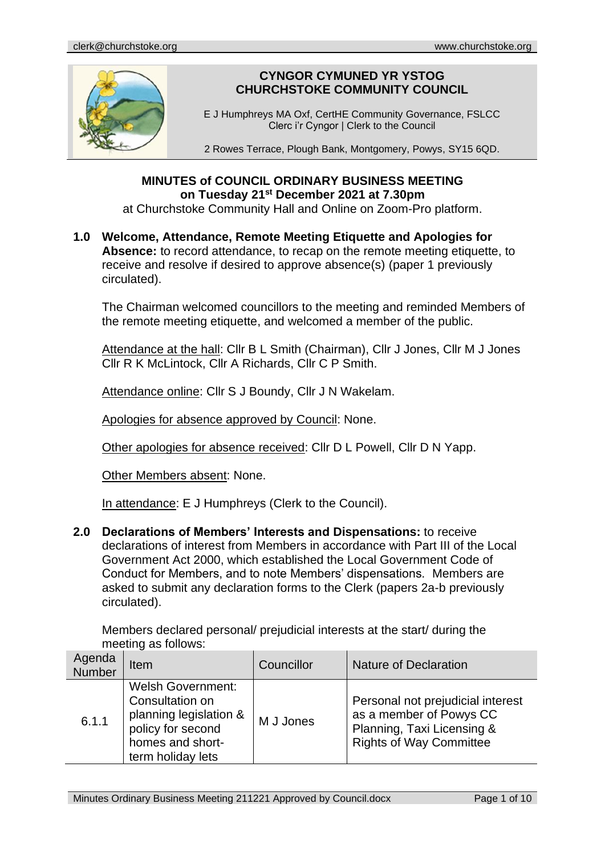

# **CYNGOR CYMUNED YR YSTOG CHURCHSTOKE COMMUNITY COUNCIL**

E J Humphreys MA Oxf, CertHE Community Governance, FSLCC Clerc i'r Cyngor | Clerk to the Council

2 Rowes Terrace, Plough Bank, Montgomery, Powys, SY15 6QD.

## **MINUTES of COUNCIL ORDINARY BUSINESS MEETING on Tuesday 21st December 2021 at 7.30pm**

at Churchstoke Community Hall and Online on Zoom-Pro platform.

#### **1.0 Welcome, Attendance, Remote Meeting Etiquette and Apologies for**  Absence: to record attendance, to recap on the remote meeting etiquette, to receive and resolve if desired to approve absence(s) (paper 1 previously circulated).

The Chairman welcomed councillors to the meeting and reminded Members of the remote meeting etiquette, and welcomed a member of the public.

Attendance at the hall: Cllr B L Smith (Chairman), Cllr J Jones, Cllr M J Jones Cllr R K McLintock, Cllr A Richards, Cllr C P Smith.

Attendance online: Cllr S J Boundy, Cllr J N Wakelam.

Apologies for absence approved by Council: None.

Other apologies for absence received: Cllr D L Powell, Cllr D N Yapp.

Other Members absent: None.

In attendance: E J Humphreys (Clerk to the Council).

**2.0 Declarations of Members' Interests and Dispensations:** to receive declarations of interest from Members in accordance with Part III of the Local Government Act 2000, which established the Local Government Code of Conduct for Members, and to note Members' dispensations. Members are asked to submit any declaration forms to the Clerk (papers 2a-b previously circulated).

Members declared personal/ prejudicial interests at the start/ during the meeting as follows:

| Agenda<br>Number | Item                                                                                                                                | Councillor | <b>Nature of Declaration</b>                                                                                                 |
|------------------|-------------------------------------------------------------------------------------------------------------------------------------|------------|------------------------------------------------------------------------------------------------------------------------------|
| 6.1.1            | <b>Welsh Government:</b><br>Consultation on<br>planning legislation &<br>policy for second<br>homes and short-<br>term holiday lets | M J Jones  | Personal not prejudicial interest<br>as a member of Powys CC<br>Planning, Taxi Licensing &<br><b>Rights of Way Committee</b> |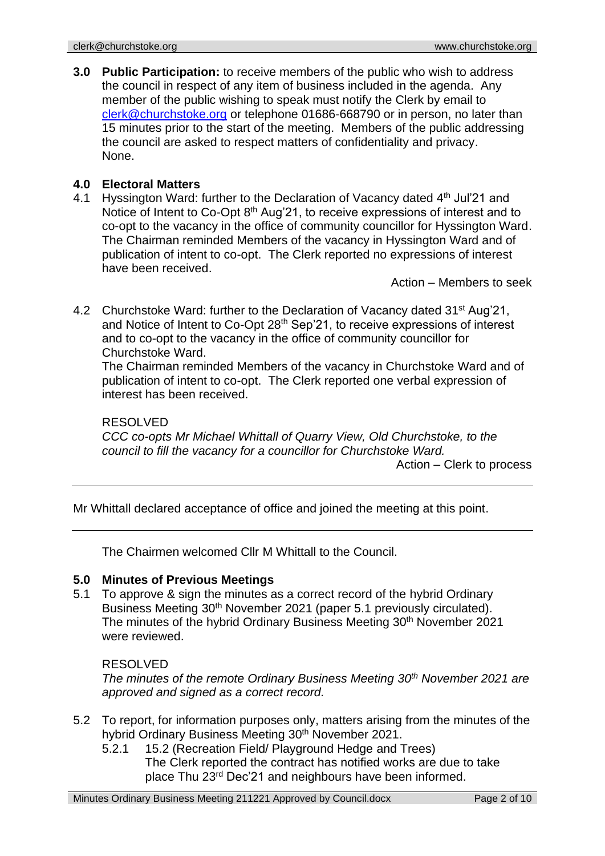**3.0 Public Participation:** to receive members of the public who wish to address the council in respect of any item of business included in the agenda. Any member of the public wishing to speak must notify the Clerk by email to [clerk@churchstoke.org](mailto:clerk@churchstoke.org) or telephone 01686-668790 or in person, no later than 15 minutes prior to the start of the meeting. Members of the public addressing the council are asked to respect matters of confidentiality and privacy. None.

## **4.0 Electoral Matters**

4.1 Hyssington Ward: further to the Declaration of Vacancy dated 4<sup>th</sup> Jul'21 and Notice of Intent to Co-Opt 8<sup>th</sup> Aug'21, to receive expressions of interest and to co-opt to the vacancy in the office of community councillor for Hyssington Ward. The Chairman reminded Members of the vacancy in Hyssington Ward and of publication of intent to co-opt. The Clerk reported no expressions of interest have been received.

Action – Members to seek

4.2 Churchstoke Ward: further to the Declaration of Vacancy dated 31<sup>st</sup> Aug'21, and Notice of Intent to Co-Opt 28th Sep'21, to receive expressions of interest and to co-opt to the vacancy in the office of community councillor for Churchstoke Ward.

The Chairman reminded Members of the vacancy in Churchstoke Ward and of publication of intent to co-opt. The Clerk reported one verbal expression of interest has been received.

#### RESOLVED

*CCC co-opts Mr Michael Whittall of Quarry View, Old Churchstoke, to the council to fill the vacancy for a councillor for Churchstoke Ward.*

Action – Clerk to process

Mr Whittall declared acceptance of office and joined the meeting at this point.

The Chairmen welcomed Cllr M Whittall to the Council.

#### **5.0 Minutes of Previous Meetings**

5.1 To approve & sign the minutes as a correct record of the hybrid Ordinary Business Meeting 30th November 2021 (paper 5.1 previously circulated). The minutes of the hybrid Ordinary Business Meeting 30<sup>th</sup> November 2021 were reviewed.

#### RESOLVED

*The minutes of the remote Ordinary Business Meeting 30th November 2021 are approved and signed as a correct record.*

- 5.2 To report, for information purposes only, matters arising from the minutes of the hybrid Ordinary Business Meeting 30<sup>th</sup> November 2021.
	- 5.2.1 15.2 (Recreation Field/ Playground Hedge and Trees) The Clerk reported the contract has notified works are due to take place Thu 23<sup>rd</sup> Dec'21 and neighbours have been informed.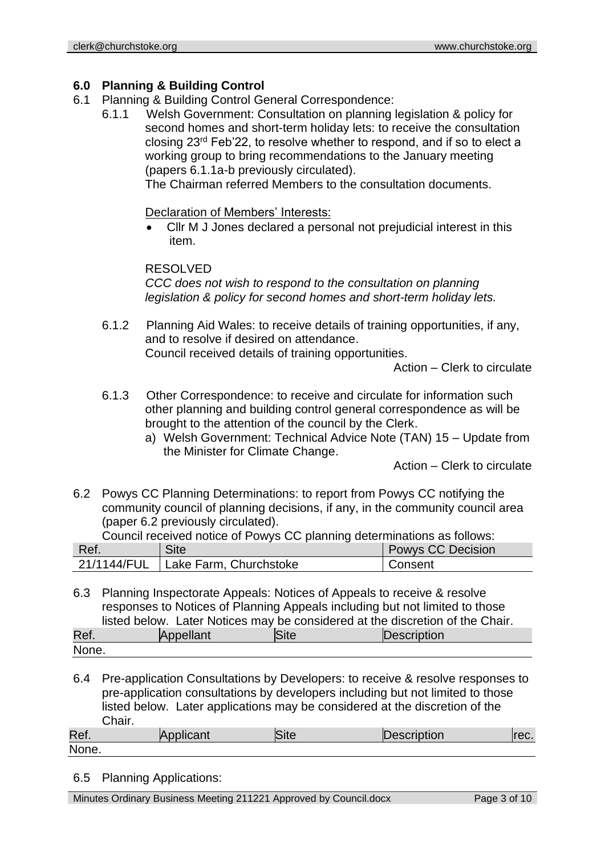## **6.0 Planning & Building Control**

- 6.1 Planning & Building Control General Correspondence:
	- 6.1.1 Welsh Government: Consultation on planning legislation & policy for second homes and short-term holiday lets: to receive the consultation closing 23rd Feb'22, to resolve whether to respond, and if so to elect a working group to bring recommendations to the January meeting (papers 6.1.1a-b previously circulated).

The Chairman referred Members to the consultation documents.

Declaration of Members' Interests:

• Cllr M J Jones declared a personal not prejudicial interest in this item.

RESOLVED

*CCC does not wish to respond to the consultation on planning legislation & policy for second homes and short-term holiday lets.*

6.1.2 Planning Aid Wales: to receive details of training opportunities, if any, and to resolve if desired on attendance.

Council received details of training opportunities.

Action – Clerk to circulate

- 6.1.3 Other Correspondence: to receive and circulate for information such other planning and building control general correspondence as will be brought to the attention of the council by the Clerk.
	- a) Welsh Government: Technical Advice Note (TAN) 15 Update from the Minister for Climate Change.

Action – Clerk to circulate

6.2 Powys CC Planning Determinations: to report from Powys CC notifying the community council of planning decisions, if any, in the community council area (paper 6.2 previously circulated).

|  | Council received notice of Powys CC planning determinations as follows: |
|--|-------------------------------------------------------------------------|
|--|-------------------------------------------------------------------------|

| Ref. | __<br>Site                           | <b>Powys CC Decision</b> |
|------|--------------------------------------|--------------------------|
|      | 21/1144/FUL   Lake Farm, Churchstoke | Consent                  |

6.3 Planning Inspectorate Appeals: Notices of Appeals to receive & resolve responses to Notices of Planning Appeals including but not limited to those listed below. Later Notices may be considered at the discretion of the Chair.

| Ref.  | _<br><b>Appellant</b> | site | escription |
|-------|-----------------------|------|------------|
| None. |                       |      |            |

6.4 Pre-application Consultations by Developers: to receive & resolve responses to pre-application consultations by developers including but not limited to those listed below. Later applications may be considered at the discretion of the Chair.

Ref. Applicant Site Description rec. None.

6.5 Planning Applications:

Minutes Ordinary Business Meeting 211221 Approved by Council.docx Page 3 of 10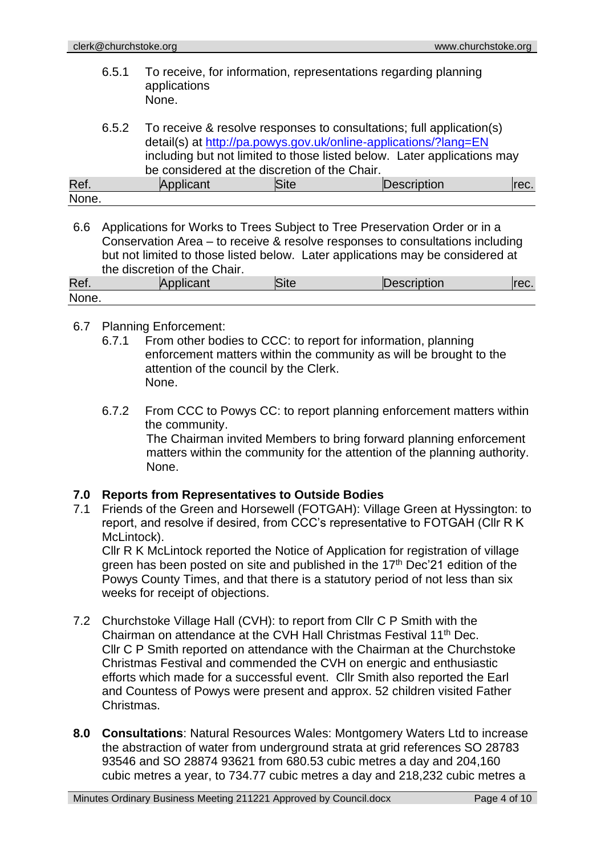6.5.1 To receive, for information, representations regarding planning applications None. 6.5.2 To receive & resolve responses to consultations; full application(s) detail(s) at http://pa.powys.gov.uk/online-applications/?lang=EN including but not limited to those listed below. Later applications may be considered at the discretion of the Chair. Ref. Applicant Site Description rec. None.

6.6 Applications for Works to Trees Subject to Tree Preservation Order or in a Conservation Area – to receive & resolve responses to consultations including but not limited to those listed below. Later applications may be considered at the discretion of the Chair.

| Ref.  | Applicant | ISite | Description | 'CU. |
|-------|-----------|-------|-------------|------|
| None. |           |       |             |      |

## 6.7 Planning Enforcement:

- 6.7.1 From other bodies to CCC: to report for information, planning enforcement matters within the community as will be brought to the attention of the council by the Clerk. None.
- 6.7.2 From CCC to Powys CC: to report planning enforcement matters within the community. The Chairman invited Members to bring forward planning enforcement matters within the community for the attention of the planning authority. None.

## **7.0 Reports from Representatives to Outside Bodies**

7.1 Friends of the Green and Horsewell (FOTGAH): Village Green at Hyssington: to report, and resolve if desired, from CCC's representative to FOTGAH (Cllr R K McLintock).

Cllr R K McLintock reported the Notice of Application for registration of village green has been posted on site and published in the 17<sup>th</sup> Dec'21 edition of the Powys County Times, and that there is a statutory period of not less than six weeks for receipt of objections.

- 7.2 Churchstoke Village Hall (CVH): to report from Cllr C P Smith with the Chairman on attendance at the CVH Hall Christmas Festival 11th Dec. Cllr C P Smith reported on attendance with the Chairman at the Churchstoke Christmas Festival and commended the CVH on energic and enthusiastic efforts which made for a successful event. Cllr Smith also reported the Earl and Countess of Powys were present and approx. 52 children visited Father Christmas.
- **8.0 Consultations**: Natural Resources Wales: Montgomery Waters Ltd to increase the abstraction of water from underground strata at grid references SO 28783 93546 and SO 28874 93621 from 680.53 cubic metres a day and 204,160 cubic metres a year, to 734.77 cubic metres a day and 218,232 cubic metres a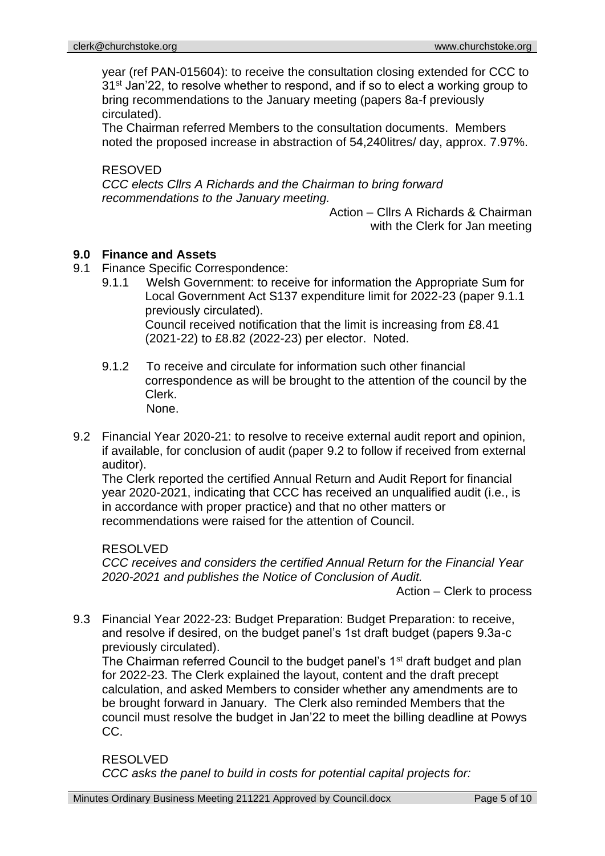year (ref PAN-015604): to receive the consultation closing extended for CCC to 31st Jan'22, to resolve whether to respond, and if so to elect a working group to bring recommendations to the January meeting (papers 8a-f previously circulated).

The Chairman referred Members to the consultation documents. Members noted the proposed increase in abstraction of 54,240litres/ day, approx. 7.97%.

RESOVED *CCC elects Cllrs A Richards and the Chairman to bring forward recommendations to the January meeting.*

> Action – Cllrs A Richards & Chairman with the Clerk for Jan meeting

#### **9.0 Finance and Assets**

- 9.1 Finance Specific Correspondence:
	- 9.1.1 Welsh Government: to receive for information the Appropriate Sum for Local Government Act S137 expenditure limit for 2022-23 (paper 9.1.1 previously circulated). Council received notification that the limit is increasing from £8.41 (2021-22) to £8.82 (2022-23) per elector. Noted.
	- 9.1.2 To receive and circulate for information such other financial correspondence as will be brought to the attention of the council by the Clerk. None.
- 9.2 Financial Year 2020-21: to resolve to receive external audit report and opinion, if available, for conclusion of audit (paper 9.2 to follow if received from external auditor).

The Clerk reported the certified Annual Return and Audit Report for financial year 2020-2021, indicating that CCC has received an unqualified audit (i.e., is in accordance with proper practice) and that no other matters or recommendations were raised for the attention of Council.

#### RESOLVED

*CCC receives and considers the certified Annual Return for the Financial Year 2020-2021 and publishes the Notice of Conclusion of Audit.*

Action – Clerk to process

9.3 Financial Year 2022-23: Budget Preparation: Budget Preparation: to receive, and resolve if desired, on the budget panel's 1st draft budget (papers 9.3a-c previously circulated).

The Chairman referred Council to the budget panel's 1<sup>st</sup> draft budget and plan for 2022-23. The Clerk explained the layout, content and the draft precept calculation, and asked Members to consider whether any amendments are to be brought forward in January. The Clerk also reminded Members that the council must resolve the budget in Jan'22 to meet the billing deadline at Powys CC.

RESOLVED *CCC asks the panel to build in costs for potential capital projects for:*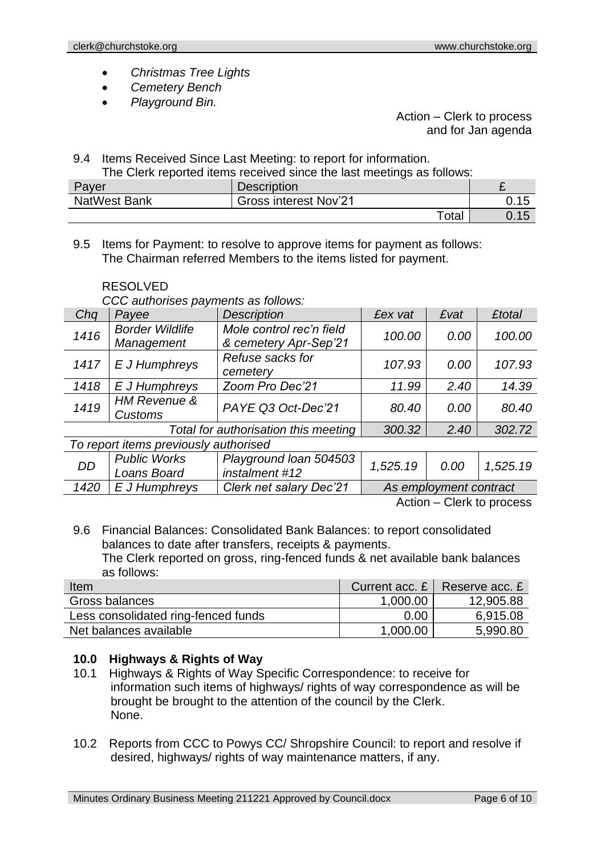- *Christmas Tree Lights*
- *Cemetery Bench*
- *Playground Bin.*

Action – Clerk to process and for Jan agenda

9.4 Items Received Since Last Meeting: to report for information.

| The Clerk reported items received since the last meetings as follows: |                              |      |  |
|-----------------------------------------------------------------------|------------------------------|------|--|
| Payer                                                                 | <b>Description</b>           |      |  |
| NatWest Bank                                                          | <b>Gross interest Nov'21</b> | 0.15 |  |
|                                                                       | Total                        | 0.15 |  |

9.5 Items for Payment: to resolve to approve items for payment as follows: The Chairman referred Members to the items listed for payment.

#### RESOLVED

*CCC authorises payments as follows:*

| Chq                                   | Payee                                | <b>Description</b>                                | £ex vat                | £vat                                                                  | <b>£total</b> |
|---------------------------------------|--------------------------------------|---------------------------------------------------|------------------------|-----------------------------------------------------------------------|---------------|
| 1416                                  | <b>Border Wildlife</b><br>Management | Mole control rec'n field<br>& cemetery Apr-Sep'21 | 100.00                 | 0.00                                                                  | 100.00        |
| 1417                                  | E J Humphreys                        | Refuse sacks for<br>cemetery                      | 107.93                 | 0.00                                                                  | 107.93        |
| 1418                                  | E J Humphreys                        | Zoom Pro Dec'21                                   | 11.99                  | 2.40                                                                  | 14.39         |
| 1419                                  | <b>HM Revenue &amp;</b><br>Customs   | PAYE Q3 Oct-Dec'21                                | 80.40                  | 0.00                                                                  | 80.40         |
| Total for authorisation this meeting  |                                      | 300.32                                            | 2.40                   | 302.72                                                                |               |
| To report items previously authorised |                                      |                                                   |                        |                                                                       |               |
| <b>DD</b>                             | <b>Public Works</b><br>Loans Board   | Playground loan 504503<br>instalment #12          | 1,525.19               | 0.00                                                                  | 1,525.19      |
| 1420                                  | E J Humphreys                        | Clerk net salary Dec'21                           | As employment contract |                                                                       |               |
|                                       |                                      |                                                   |                        | $\bullet$ $\bullet$ $\bullet$ $\bullet$ $\bullet$ $\bullet$ $\bullet$ |               |

Action – Clerk to process

9.6 Financial Balances: Consolidated Bank Balances: to report consolidated balances to date after transfers, receipts & payments. The Clerk reported on gross, ring-fenced funds & net available bank balances as follows:

| Item                                | Current acc. $E \parallel$ | Reserve acc. £ |
|-------------------------------------|----------------------------|----------------|
| Gross balances                      | 1,000.00                   | 12,905.88      |
| Less consolidated ring-fenced funds | 0.00                       | 6,915.08       |
| Net balances available              | 1,000.00                   | 5,990.80       |

## **10.0 Highways & Rights of Way**

- 10.1 Highways & Rights of Way Specific Correspondence: to receive for information such items of highways/ rights of way correspondence as will be brought be brought to the attention of the council by the Clerk. None.
- 10.2 Reports from CCC to Powys CC/ Shropshire Council: to report and resolve if desired, highways/ rights of way maintenance matters, if any.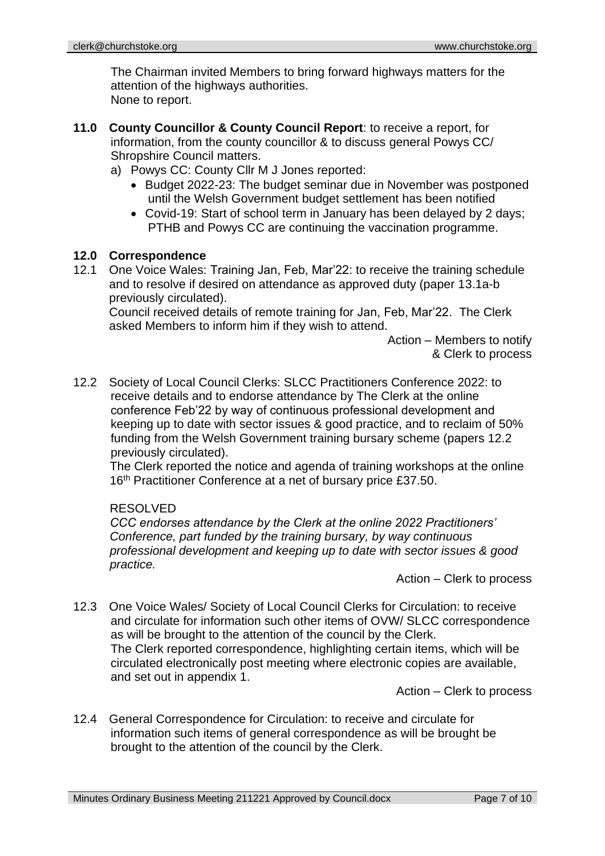The Chairman invited Members to bring forward highways matters for the attention of the highways authorities. None to report.

- **11.0 County Councillor & County Council Report**: to receive a report, for information, from the county councillor & to discuss general Powys CC/ Shropshire Council matters.
	- a) Powys CC: County Cllr M J Jones reported:
		- Budget 2022-23: The budget seminar due in November was postponed until the Welsh Government budget settlement has been notified
		- Covid-19: Start of school term in January has been delayed by 2 days; PTHB and Powys CC are continuing the vaccination programme.

## **12.0 Correspondence**

12.1 One Voice Wales: Training Jan, Feb, Mar'22: to receive the training schedule and to resolve if desired on attendance as approved duty (paper 13.1a-b previously circulated).

Council received details of remote training for Jan, Feb, Mar'22. The Clerk asked Members to inform him if they wish to attend.

> Action – Members to notify & Clerk to process

12.2 Society of Local Council Clerks: SLCC Practitioners Conference 2022: to receive details and to endorse attendance by The Clerk at the online conference Feb'22 by way of continuous professional development and keeping up to date with sector issues & good practice, and to reclaim of 50% funding from the Welsh Government training bursary scheme (papers 12.2 previously circulated).

The Clerk reported the notice and agenda of training workshops at the online 16<sup>th</sup> Practitioner Conference at a net of bursary price £37.50.

#### RESOLVED

*CCC endorses attendance by the Clerk at the online 2022 Practitioners' Conference, part funded by the training bursary, by way continuous professional development and keeping up to date with sector issues & good practice.*

Action – Clerk to process

12.3 One Voice Wales/ Society of Local Council Clerks for Circulation: to receive and circulate for information such other items of OVW/ SLCC correspondence as will be brought to the attention of the council by the Clerk. The Clerk reported correspondence, highlighting certain items, which will be circulated electronically post meeting where electronic copies are available, and set out in appendix 1.

Action – Clerk to process

12.4 General Correspondence for Circulation: to receive and circulate for information such items of general correspondence as will be brought be brought to the attention of the council by the Clerk.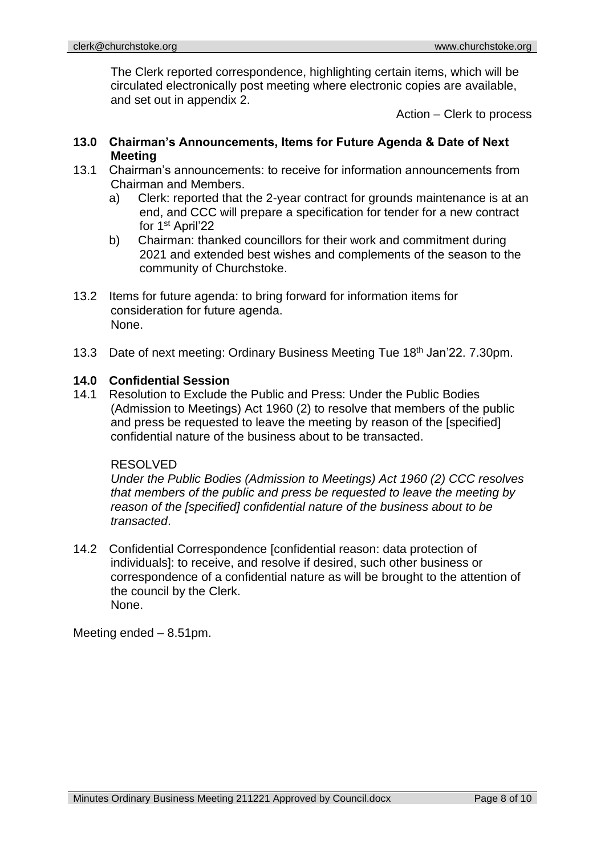The Clerk reported correspondence, highlighting certain items, which will be circulated electronically post meeting where electronic copies are available, and set out in appendix 2.

Action – Clerk to process

#### **13.0 Chairman's Announcements, Items for Future Agenda & Date of Next Meeting**

- 13.1 Chairman's announcements: to receive for information announcements from Chairman and Members.
	- a) Clerk: reported that the 2-year contract for grounds maintenance is at an end, and CCC will prepare a specification for tender for a new contract for 1st April'22
	- b) Chairman: thanked councillors for their work and commitment during 2021 and extended best wishes and complements of the season to the community of Churchstoke.
- 13.2 Items for future agenda: to bring forward for information items for consideration for future agenda. None.
- 13.3 Date of next meeting: Ordinary Business Meeting Tue 18th Jan'22. 7.30pm.

## **14.0 Confidential Session**

14.1 Resolution to Exclude the Public and Press: Under the Public Bodies (Admission to Meetings) Act 1960 (2) to resolve that members of the public and press be requested to leave the meeting by reason of the [specified] confidential nature of the business about to be transacted.

#### RESOLVED

*Under the Public Bodies (Admission to Meetings) Act 1960 (2) CCC resolves that members of the public and press be requested to leave the meeting by reason of the [specified] confidential nature of the business about to be transacted*.

14.2 Confidential Correspondence [confidential reason: data protection of individuals]: to receive, and resolve if desired, such other business or correspondence of a confidential nature as will be brought to the attention of the council by the Clerk. None.

Meeting ended – 8.51pm.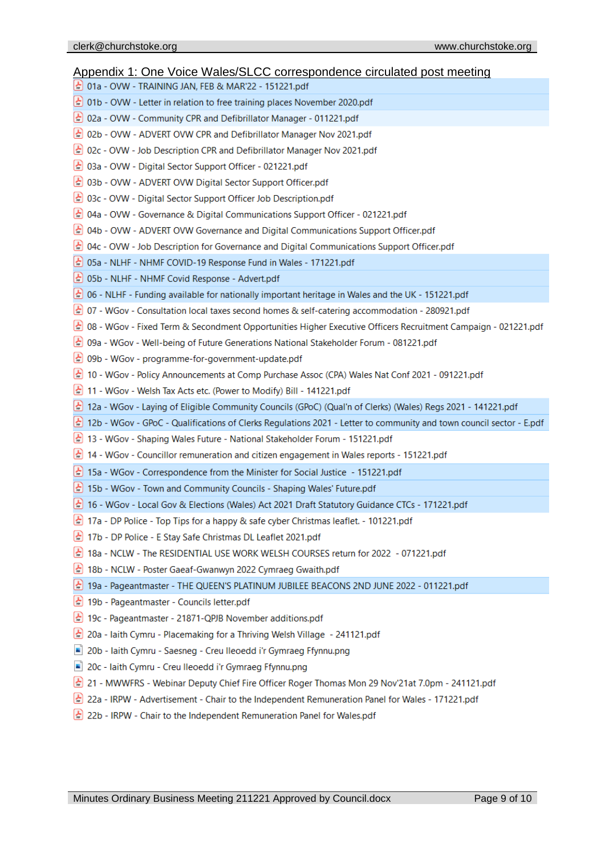| Appendix 1: One Voice Wales/SLCC correspondence circulated post meeting                                                      |
|------------------------------------------------------------------------------------------------------------------------------|
| ් 01a - OVW - TRAINING JAN, FEB & MAR'22 - 151221.pdf                                                                        |
| of D1b - OVW - Letter in relation to free training places November 2020.pdf                                                  |
| ් 02a - OVW - Community CPR and Defibrillator Manager - 011221.pdf                                                           |
| H<br>02b - OVW - ADVERT OVW CPR and Defibrillator Manager Nov 2021.pdf                                                       |
| H<br>02c - OVW - Job Description CPR and Defibrillator Manager Nov 2021.pdf                                                  |
| كا<br>03a - OVW - Digital Sector Support Officer - 021221.pdf                                                                |
| b 03b - OVW - ADVERT OVW Digital Sector Support Officer.pdf                                                                  |
| 03c - OVW - Digital Sector Support Officer Job Description.pdf<br>H                                                          |
| Ł<br>04a - OVW - Governance & Digital Communications Support Officer - 021221.pdf                                            |
| o4b - OVW - ADVERT OVW Governance and Digital Communications Support Officer.pdf                                             |
| 04c - OVW - Job Description for Governance and Digital Communications Support Officer.pdf                                    |
| D5a - NLHF - NHMF COVID-19 Response Fund in Wales - 171221.pdf                                                               |
| b 05b - NLHF - NHMF Covid Response - Advert.pdf                                                                              |
| 레<br>06 - NLHF - Funding available for nationally important heritage in Wales and the UK - 151221.pdf                        |
| 07 - WGov - Consultation local taxes second homes & self-catering accommodation - 280921.pdf                                 |
| 08 - WGov - Fixed Term & Secondment Opportunities Higher Executive Officers Recruitment Campaign - 021221.pdf<br>H           |
| 09a - WGov - Well-being of Future Generations National Stakeholder Forum - 081221.pdf<br>H                                   |
| Ł<br>09b - WGov - programme-for-government-update.pdf                                                                        |
| H<br>10 - WGov - Policy Announcements at Comp Purchase Assoc (CPA) Wales Nat Conf 2021 - 091221.pdf                          |
| Ł<br>11 - WGov - Welsh Tax Acts etc. (Power to Modify) Bill - 141221.pdf                                                     |
| a 1221.pdf (GPoC) (Qual'n of Clerks) (Wales) Regs 2021 - 141221.pdf (GPoC) (Qual'n of Clerks) (Wales) Regs 2021 - 141221.pdf |
| 신<br>12b - WGov - GPoC - Qualifications of Clerks Regulations 2021 - Letter to community and town council sector - E.pdf     |
| 13 - WGov - Shaping Wales Future - National Stakeholder Forum - 151221.pdf<br>ظ                                              |
| 14 - WGov - Councillor remuneration and citizen engagement in Wales reports - 151221.pdf<br>ظ                                |
| 쉽<br>15a - WGov - Correspondence from the Minister for Social Justice - 151221.pdf                                           |
| 15b - WGov - Town and Community Councils - Shaping Wales' Future.pdf                                                         |
| 16 - WGov - Local Gov & Elections (Wales) Act 2021 Draft Statutory Guidance CTCs - 171221.pdf                                |
| 습<br>17a - DP Police - Top Tips for a happy & safe cyber Christmas leaflet. - 101221.pdf                                     |
| 17b - DP Police - E Stay Safe Christmas DL Leaflet 2021.pdf<br>G.                                                            |
| 色<br>18a - NCLW - The RESIDENTIAL USE WORK WELSH COURSES return for 2022 - 071221.pdf                                        |
| と<br>18b - NCLW - Poster Gaeaf-Gwanwyn 2022 Cymraeg Gwaith.pdf                                                               |
| 심<br>19a - Pageantmaster - THE QUEEN'S PLATINUM JUBILEE BEACONS 2ND JUNE 2022 - 011221.pdf                                   |
| ċ<br>19b - Pageantmaster - Councils letter.pdf                                                                               |
| Ł<br>19c - Pageantmaster - 21871-QPJB November additions.pdf                                                                 |
| 신<br>20a - laith Cymru - Placemaking for a Thriving Welsh Village - 241121.pdf                                               |
| $\mathbf{r}$<br>20b - laith Cymru - Saesneg - Creu lleoedd i'r Gymraeg Ffynnu.png                                            |
| ×<br>20c - laith Cymru - Creu lleoedd i'r Gymraeg Ffynnu.png                                                                 |
| 신<br>21 - MWWFRS - Webinar Deputy Chief Fire Officer Roger Thomas Mon 29 Nov'21at 7.0pm - 241121.pdf                         |
| 22a - IRPW - Advertisement - Chair to the Independent Remuneration Panel for Wales - 171221.pdf<br>H                         |
| 22b - IRPW - Chair to the Independent Remuneration Panel for Wales.pdf                                                       |